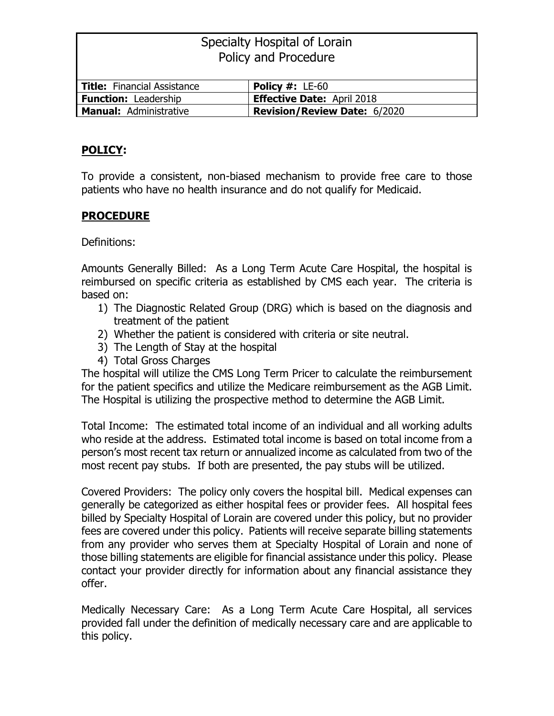| Specialty Hospital of Lorain       |                                     |  |  |  |
|------------------------------------|-------------------------------------|--|--|--|
| Policy and Procedure               |                                     |  |  |  |
|                                    |                                     |  |  |  |
| <b>Title:</b> Financial Assistance | <b>Policy #: <math>LE-60</math></b> |  |  |  |
| <b>Function: Leadership</b>        | <b>Effective Date: April 2018</b>   |  |  |  |
| <b>Manual: Administrative</b>      | <b>Revision/Review Date: 6/2020</b> |  |  |  |

## **POLICY:**

To provide a consistent, non-biased mechanism to provide free care to those patients who have no health insurance and do not qualify for Medicaid.

## **PROCEDURE**

Definitions:

Amounts Generally Billed: As a Long Term Acute Care Hospital, the hospital is reimbursed on specific criteria as established by CMS each year. The criteria is based on:

- 1) The Diagnostic Related Group (DRG) which is based on the diagnosis and treatment of the patient
- 2) Whether the patient is considered with criteria or site neutral.
- 3) The Length of Stay at the hospital
- 4) Total Gross Charges

The hospital will utilize the CMS Long Term Pricer to calculate the reimbursement for the patient specifics and utilize the Medicare reimbursement as the AGB Limit. The Hospital is utilizing the prospective method to determine the AGB Limit.

Total Income: The estimated total income of an individual and all working adults who reside at the address. Estimated total income is based on total income from a person's most recent tax return or annualized income as calculated from two of the most recent pay stubs. If both are presented, the pay stubs will be utilized.

Covered Providers: The policy only covers the hospital bill. Medical expenses can generally be categorized as either hospital fees or provider fees. All hospital fees billed by Specialty Hospital of Lorain are covered under this policy, but no provider fees are covered under this policy. Patients will receive separate billing statements from any provider who serves them at Specialty Hospital of Lorain and none of those billing statements are eligible for financial assistance under this policy. Please contact your provider directly for information about any financial assistance they offer.

Medically Necessary Care: As a Long Term Acute Care Hospital, all services provided fall under the definition of medically necessary care and are applicable to this policy.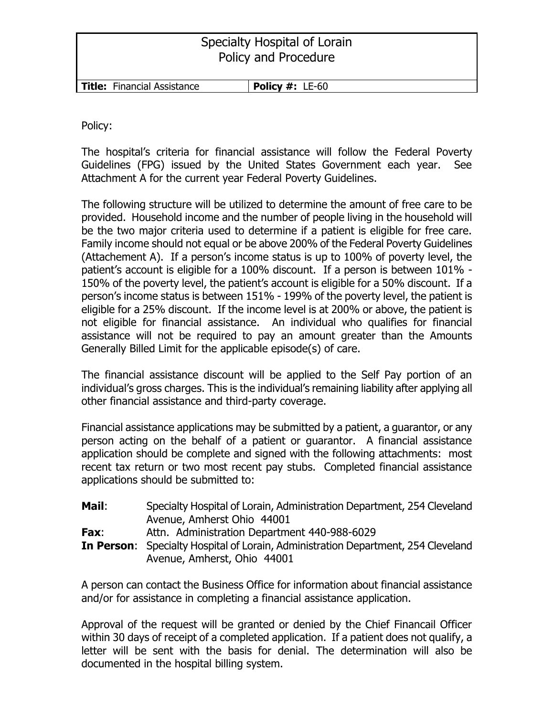| Specialty Hospital of Lorain<br>Policy and Procedure |                                     |  |  |  |
|------------------------------------------------------|-------------------------------------|--|--|--|
| Title: Financial Assistance                          | <b>Policy #: <math>LE-60</math></b> |  |  |  |

Policy:

The hospital's criteria for financial assistance will follow the Federal Poverty Guidelines (FPG) issued by the United States Government each year. See Attachment A for the current year Federal Poverty Guidelines.

The following structure will be utilized to determine the amount of free care to be provided. Household income and the number of people living in the household will be the two major criteria used to determine if a patient is eligible for free care. Family income should not equal or be above 200% of the Federal Poverty Guidelines (Attachement A). If a person's income status is up to 100% of poverty level, the patient's account is eligible for a 100% discount. If a person is between 101% - 150% of the poverty level, the patient's account is eligible for a 50% discount. If a person's income status is between 151% - 199% of the poverty level, the patient is eligible for a 25% discount. If the income level is at 200% or above, the patient is not eligible for financial assistance. An individual who qualifies for financial assistance will not be required to pay an amount greater than the Amounts Generally Billed Limit for the applicable episode(s) of care.

The financial assistance discount will be applied to the Self Pay portion of an individual's gross charges. This is the individual's remaining liability after applying all other financial assistance and third-party coverage.

Financial assistance applications may be submitted by a patient, a guarantor, or any person acting on the behalf of a patient or guarantor. A financial assistance application should be complete and signed with the following attachments: most recent tax return or two most recent pay stubs. Completed financial assistance applications should be submitted to:

| Mail:       | Specialty Hospital of Lorain, Administration Department, 254 Cleveland<br>Avenue, Amherst Ohio 44001                    |
|-------------|-------------------------------------------------------------------------------------------------------------------------|
| <b>Fax:</b> | Attn. Administration Department 440-988-6029                                                                            |
|             | <b>In Person:</b> Specialty Hospital of Lorain, Administration Department, 254 Cleveland<br>Avenue, Amherst, Ohio 44001 |

A person can contact the Business Office for information about financial assistance and/or for assistance in completing a financial assistance application.

Approval of the request will be granted or denied by the Chief Financail Officer within 30 days of receipt of a completed application. If a patient does not qualify, a letter will be sent with the basis for denial. The determination will also be documented in the hospital billing system.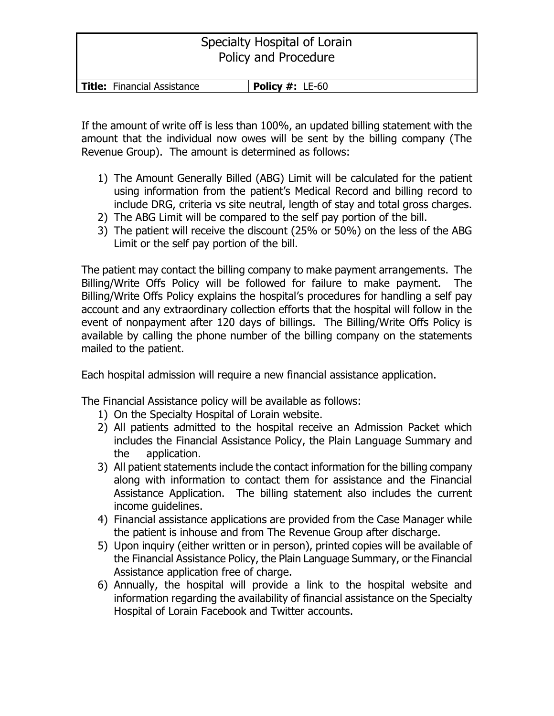# Specialty Hospital of Lorain Policy and Procedure

| <b>Title:</b> Financial Assistance | <b>Policy #: <math>LE-60</math></b> |
|------------------------------------|-------------------------------------|

If the amount of write off is less than 100%, an updated billing statement with the amount that the individual now owes will be sent by the billing company (The Revenue Group). The amount is determined as follows:

- 1) The Amount Generally Billed (ABG) Limit will be calculated for the patient using information from the patient's Medical Record and billing record to include DRG, criteria vs site neutral, length of stay and total gross charges.
- 2) The ABG Limit will be compared to the self pay portion of the bill.
- 3) The patient will receive the discount (25% or 50%) on the less of the ABG Limit or the self pay portion of the bill.

The patient may contact the billing company to make payment arrangements. The Billing/Write Offs Policy will be followed for failure to make payment. The Billing/Write Offs Policy explains the hospital's procedures for handling a self pay account and any extraordinary collection efforts that the hospital will follow in the event of nonpayment after 120 days of billings. The Billing/Write Offs Policy is available by calling the phone number of the billing company on the statements mailed to the patient.

Each hospital admission will require a new financial assistance application.

The Financial Assistance policy will be available as follows:

- 1) On the Specialty Hospital of Lorain website.
- 2) All patients admitted to the hospital receive an Admission Packet which includes the Financial Assistance Policy, the Plain Language Summary and the application.
- 3) All patient statements include the contact information for the billing company along with information to contact them for assistance and the Financial Assistance Application. The billing statement also includes the current income guidelines.
- 4) Financial assistance applications are provided from the Case Manager while the patient is inhouse and from The Revenue Group after discharge.
- 5) Upon inquiry (either written or in person), printed copies will be available of the Financial Assistance Policy, the Plain Language Summary, or the Financial Assistance application free of charge.
- 6) Annually, the hospital will provide a link to the hospital website and information regarding the availability of financial assistance on the Specialty Hospital of Lorain Facebook and Twitter accounts.